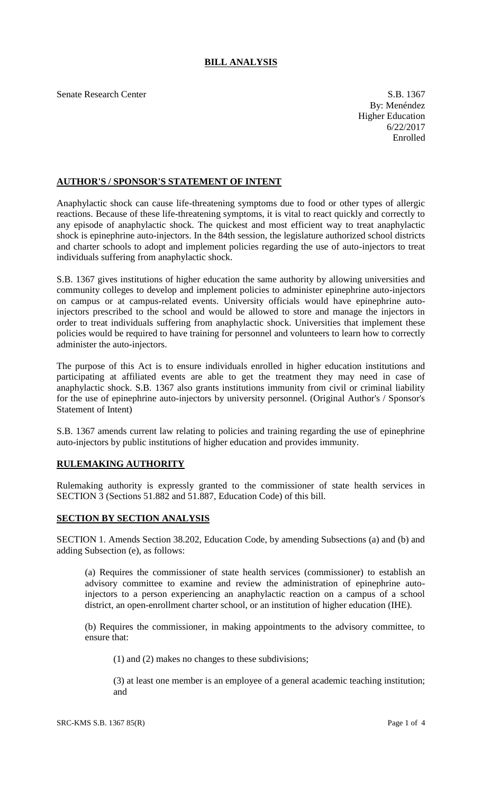# **BILL ANALYSIS**

Senate Research Center S.B. 1367

By: Menéndez Higher Education 6/22/2017 Enrolled

## **AUTHOR'S / SPONSOR'S STATEMENT OF INTENT**

Anaphylactic shock can cause life-threatening symptoms due to food or other types of allergic reactions. Because of these life-threatening symptoms, it is vital to react quickly and correctly to any episode of anaphylactic shock. The quickest and most efficient way to treat anaphylactic shock is epinephrine auto-injectors. In the 84th session, the legislature authorized school districts and charter schools to adopt and implement policies regarding the use of auto-injectors to treat individuals suffering from anaphylactic shock.

S.B. 1367 gives institutions of higher education the same authority by allowing universities and community colleges to develop and implement policies to administer epinephrine auto-injectors on campus or at campus-related events. University officials would have epinephrine autoinjectors prescribed to the school and would be allowed to store and manage the injectors in order to treat individuals suffering from anaphylactic shock. Universities that implement these policies would be required to have training for personnel and volunteers to learn how to correctly administer the auto-injectors.

The purpose of this Act is to ensure individuals enrolled in higher education institutions and participating at affiliated events are able to get the treatment they may need in case of anaphylactic shock. S.B. 1367 also grants institutions immunity from civil or criminal liability for the use of epinephrine auto-injectors by university personnel. (Original Author's / Sponsor's Statement of Intent)

S.B. 1367 amends current law relating to policies and training regarding the use of epinephrine auto-injectors by public institutions of higher education and provides immunity.

## **RULEMAKING AUTHORITY**

Rulemaking authority is expressly granted to the commissioner of state health services in SECTION 3 (Sections 51.882 and 51.887, Education Code) of this bill.

## **SECTION BY SECTION ANALYSIS**

SECTION 1. Amends Section 38.202, Education Code, by amending Subsections (a) and (b) and adding Subsection (e), as follows:

(a) Requires the commissioner of state health services (commissioner) to establish an advisory committee to examine and review the administration of epinephrine autoinjectors to a person experiencing an anaphylactic reaction on a campus of a school district, an open-enrollment charter school, or an institution of higher education (IHE).

(b) Requires the commissioner, in making appointments to the advisory committee, to ensure that:

(1) and (2) makes no changes to these subdivisions;

(3) at least one member is an employee of a general academic teaching institution; and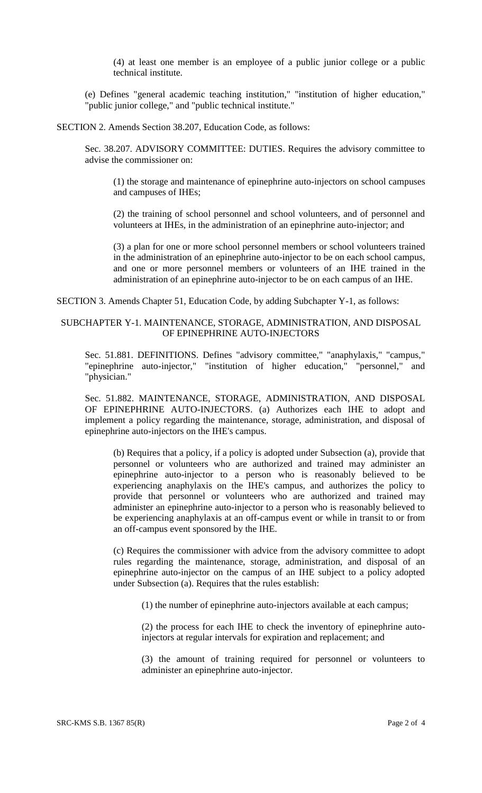(4) at least one member is an employee of a public junior college or a public technical institute.

(e) Defines "general academic teaching institution," "institution of higher education," "public junior college," and "public technical institute."

SECTION 2. Amends Section 38.207, Education Code, as follows:

Sec. 38.207. ADVISORY COMMITTEE: DUTIES. Requires the advisory committee to advise the commissioner on:

(1) the storage and maintenance of epinephrine auto-injectors on school campuses and campuses of IHEs;

(2) the training of school personnel and school volunteers, and of personnel and volunteers at IHEs, in the administration of an epinephrine auto-injector; and

(3) a plan for one or more school personnel members or school volunteers trained in the administration of an epinephrine auto-injector to be on each school campus, and one or more personnel members or volunteers of an IHE trained in the administration of an epinephrine auto-injector to be on each campus of an IHE.

SECTION 3. Amends Chapter 51, Education Code, by adding Subchapter Y-1, as follows:

### SUBCHAPTER Y-1. MAINTENANCE, STORAGE, ADMINISTRATION, AND DISPOSAL OF EPINEPHRINE AUTO-INJECTORS

Sec. 51.881. DEFINITIONS. Defines "advisory committee," "anaphylaxis," "campus," "epinephrine auto-injector," "institution of higher education," "personnel," and "physician."

Sec. 51.882. MAINTENANCE, STORAGE, ADMINISTRATION, AND DISPOSAL OF EPINEPHRINE AUTO-INJECTORS. (a) Authorizes each IHE to adopt and implement a policy regarding the maintenance, storage, administration, and disposal of epinephrine auto-injectors on the IHE's campus.

(b) Requires that a policy, if a policy is adopted under Subsection (a), provide that personnel or volunteers who are authorized and trained may administer an epinephrine auto-injector to a person who is reasonably believed to be experiencing anaphylaxis on the IHE's campus, and authorizes the policy to provide that personnel or volunteers who are authorized and trained may administer an epinephrine auto-injector to a person who is reasonably believed to be experiencing anaphylaxis at an off-campus event or while in transit to or from an off-campus event sponsored by the IHE.

(c) Requires the commissioner with advice from the advisory committee to adopt rules regarding the maintenance, storage, administration, and disposal of an epinephrine auto-injector on the campus of an IHE subject to a policy adopted under Subsection (a). Requires that the rules establish:

(1) the number of epinephrine auto-injectors available at each campus;

(2) the process for each IHE to check the inventory of epinephrine autoinjectors at regular intervals for expiration and replacement; and

(3) the amount of training required for personnel or volunteers to administer an epinephrine auto-injector.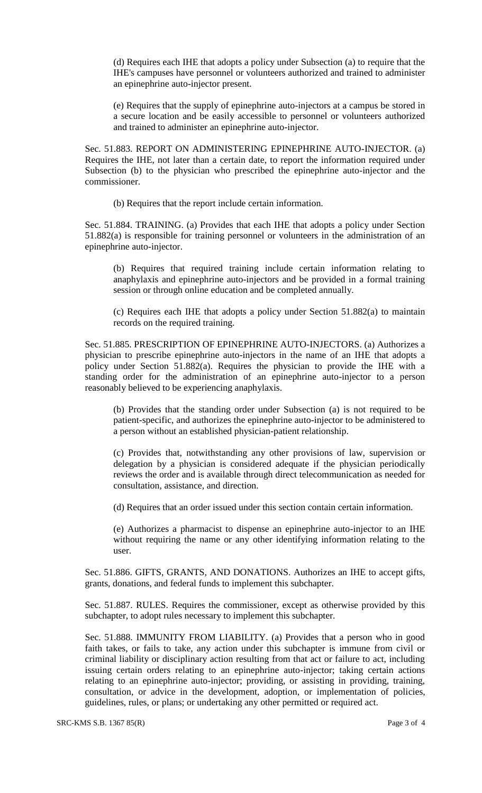(d) Requires each IHE that adopts a policy under Subsection (a) to require that the IHE's campuses have personnel or volunteers authorized and trained to administer an epinephrine auto-injector present.

(e) Requires that the supply of epinephrine auto-injectors at a campus be stored in a secure location and be easily accessible to personnel or volunteers authorized and trained to administer an epinephrine auto-injector.

Sec. 51.883. REPORT ON ADMINISTERING EPINEPHRINE AUTO-INJECTOR. (a) Requires the IHE, not later than a certain date, to report the information required under Subsection (b) to the physician who prescribed the epinephrine auto-injector and the commissioner.

(b) Requires that the report include certain information.

Sec. 51.884. TRAINING. (a) Provides that each IHE that adopts a policy under Section 51.882(a) is responsible for training personnel or volunteers in the administration of an epinephrine auto-injector.

(b) Requires that required training include certain information relating to anaphylaxis and epinephrine auto-injectors and be provided in a formal training session or through online education and be completed annually.

(c) Requires each IHE that adopts a policy under Section 51.882(a) to maintain records on the required training.

Sec. 51.885. PRESCRIPTION OF EPINEPHRINE AUTO-INJECTORS. (a) Authorizes a physician to prescribe epinephrine auto-injectors in the name of an IHE that adopts a policy under Section 51.882(a). Requires the physician to provide the IHE with a standing order for the administration of an epinephrine auto-injector to a person reasonably believed to be experiencing anaphylaxis.

(b) Provides that the standing order under Subsection (a) is not required to be patient-specific, and authorizes the epinephrine auto-injector to be administered to a person without an established physician-patient relationship.

(c) Provides that, notwithstanding any other provisions of law, supervision or delegation by a physician is considered adequate if the physician periodically reviews the order and is available through direct telecommunication as needed for consultation, assistance, and direction.

(d) Requires that an order issued under this section contain certain information.

(e) Authorizes a pharmacist to dispense an epinephrine auto-injector to an IHE without requiring the name or any other identifying information relating to the user.

Sec. 51.886. GIFTS, GRANTS, AND DONATIONS. Authorizes an IHE to accept gifts, grants, donations, and federal funds to implement this subchapter.

Sec. 51.887. RULES. Requires the commissioner, except as otherwise provided by this subchapter, to adopt rules necessary to implement this subchapter.

Sec. 51.888. IMMUNITY FROM LIABILITY. (a) Provides that a person who in good faith takes, or fails to take, any action under this subchapter is immune from civil or criminal liability or disciplinary action resulting from that act or failure to act, including issuing certain orders relating to an epinephrine auto-injector; taking certain actions relating to an epinephrine auto-injector; providing, or assisting in providing, training, consultation, or advice in the development, adoption, or implementation of policies, guidelines, rules, or plans; or undertaking any other permitted or required act.